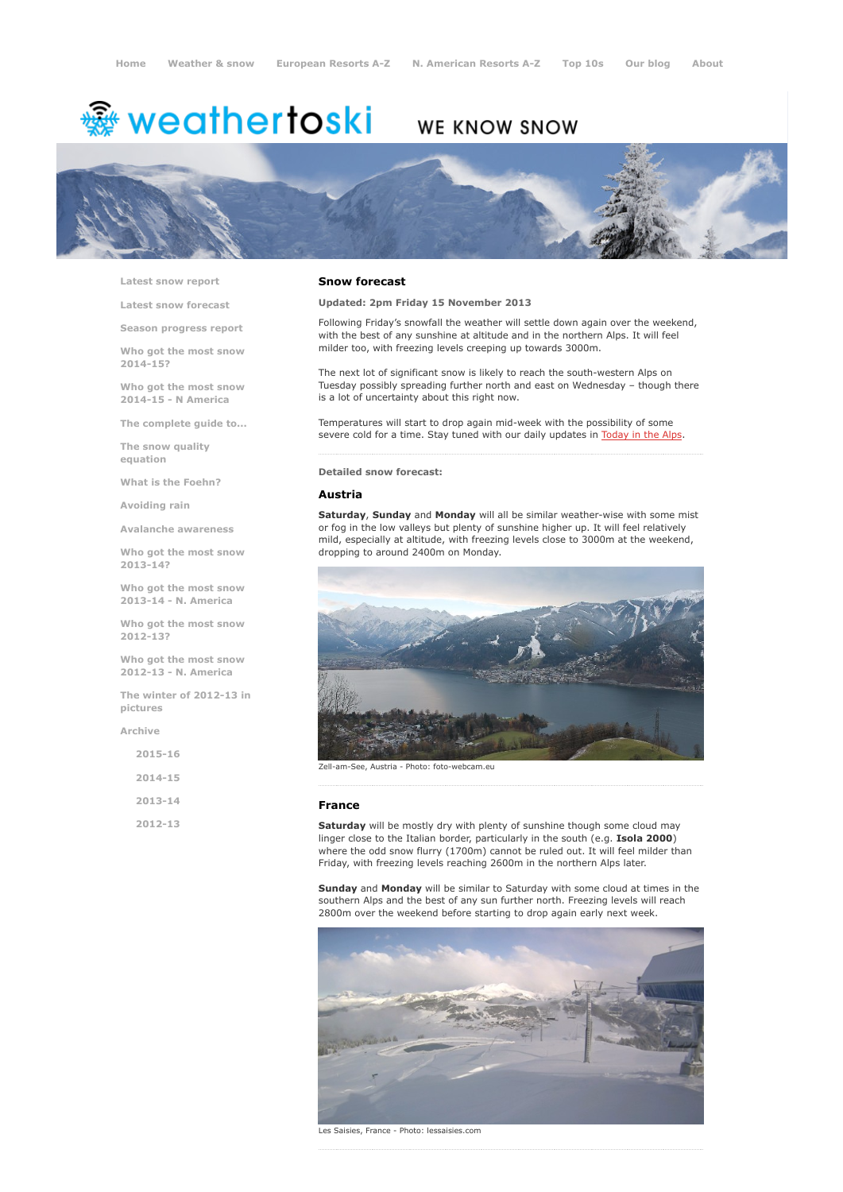# <del>鑾</del> weathertoski

## WE KNOW SNOW



Latest snow [report](http://www.weathertoski.co.uk/weather-snow/latest-snow-report/)

Latest snow [forecast](http://www.weathertoski.co.uk/weather-snow/latest-snow-forecast/)

Season [progress](http://www.weathertoski.co.uk/weather-snow/season-progress-report/) report

Who got the most snow 2014-15?

Who got the most snow 2014-15 - N America

The [complete](http://www.weathertoski.co.uk/weather-snow/the-complete-guide-to/) guide to...

The snow quality [equation](http://www.weathertoski.co.uk/weather-snow/the-snow-quality-equation/)

What is the [Foehn?](http://www.weathertoski.co.uk/weather-snow/what-is-the-foehn/)

[Avoiding](http://www.weathertoski.co.uk/weather-snow/avoiding-rain/) rain

Avalanche [awareness](http://www.weathertoski.co.uk/weather-snow/avalanche-awareness/)

Who got the most snow 2013-14?

Who got the most snow 2013-14 - N. America

Who got the most snow 2012-13?

Who got the most snow 2012-13 - N. America

The winter of 2012-13 in pictures

[Archive](http://www.weathertoski.co.uk/weather-snow/archive/)

| $2015 - 16$ |  |
|-------------|--|
| 2014-15     |  |
| $2013 - 14$ |  |
| $2012 - 13$ |  |

#### Snow forecast

Updated: 2pm Friday 15 November 2013

Following Friday's snowfall the weather will settle down again over the weekend, with the best of any sunshine at altitude and in the northern Alps. It will feel milder too, with freezing levels creeping up towards 3000m.

The next lot of significant snow is likely to reach the south-western Alps on Tuesday possibly spreading further north and east on Wednesday – though there is a lot of uncertainty about this right now.

Temperatures will start to drop again mid-week with the possibility of some severe cold for a time. Stay tuned with our daily updates in [Today](http://www.weathertoski.co.uk/weather-snow/) in the Alps.

Detailed snow forecast:

#### Austria

Saturday, Sunday and Monday will all be similar weather-wise with some mist or fog in the low valleys but plenty of sunshine higher up. It will feel relatively mild, especially at altitude, with freezing levels close to 3000m at the weekend, dropping to around 2400m on Monday.



Zell-am-See, Austria - Photo: foto-webcam.eu

#### France

Saturday will be mostly dry with plenty of sunshine though some cloud may linger close to the Italian border, particularly in the south (e.g. Isola 2000) where the odd snow flurry (1700m) cannot be ruled out. It will feel milder than Friday, with freezing levels reaching 2600m in the northern Alps later.

Sunday and Monday will be similar to Saturday with some cloud at times in the southern Alps and the best of any sun further north. Freezing levels will reach 2800m over the weekend before starting to drop again early next week



Les Saisies, France - Photo: lessaisies.com